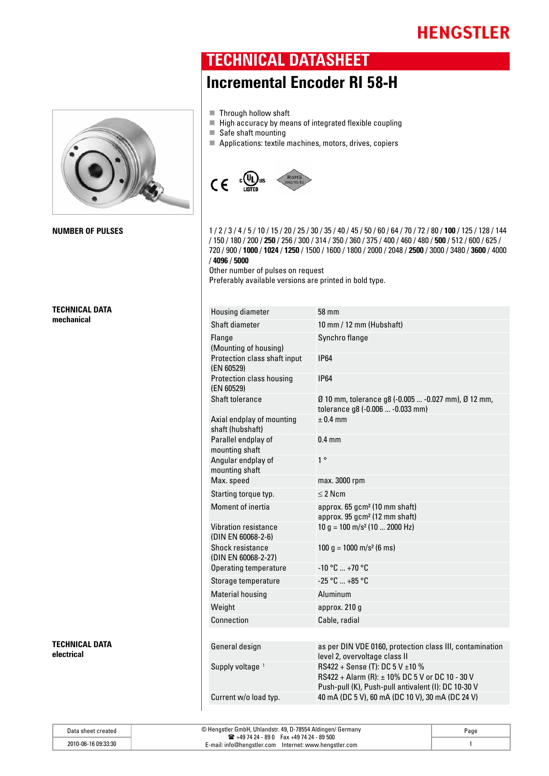

**TECHNICAL DATA mechanical** 

**TECHNICAL DATA electrical** 

#### **TECHNICAL DATASHEET**

### **Incremental Encoder RI 58-H**

- $\blacksquare$  Through hollow shaft
- $\blacksquare$  High accuracy by means of integrated flexible coupling
- $\blacksquare$  Safe shaft mounting
- $\blacksquare$  Applications: textile machines, motors, drives, copiers



**NUMBER OF PULSES** 128 / 144 1 / 2 / 3 / 4 / 5 / 10 / 15 / 20 / 25 / 30 / 35 / 40 / 45 / 50 / 60 / 64 / 70 / 72 / 80 / 100 / 125 / 128 / 144 / 150 / 180 / 200 / **250** / 256 / 300 / 314 / 350 / 360 / 375 / 400 / 460 / 480 / **500** / 512 / 600 / 625 / 720 / 900 / **1000** / **1024** / **1250** / 1500 / 1600 / 1800 / 2000 / 2048 / **2500** / 3000 / 3480 / **3600** / 4000 / **4096** / **5000** 

Other number of pulses on request

Preferably available versions are printed in bold type.

| <b>Housing diameter</b>                       | 58 mm                                                                                                                                     |
|-----------------------------------------------|-------------------------------------------------------------------------------------------------------------------------------------------|
| Shaft diameter                                | 10 mm / 12 mm (Hubshaft)                                                                                                                  |
| Flange<br>(Mounting of housing)               | Synchro flange                                                                                                                            |
| Protection class shaft input<br>(EN 60529)    | <b>IP64</b>                                                                                                                               |
| Protection class housing<br>(EN 60529)        | <b>IP64</b>                                                                                                                               |
| Shaft tolerance                               | Ø 10 mm, tolerance g8 (-0.005  -0.027 mm), Ø 12 mm,<br>tolerance g8 (-0.006  -0.033 mm)                                                   |
| Axial endplay of mounting<br>shaft (hubshaft) | $± 0.4$ mm                                                                                                                                |
| Parallel endplay of<br>mounting shaft         | $0.4$ mm                                                                                                                                  |
| Angular endplay of<br>mounting shaft          | 1 <sup>°</sup>                                                                                                                            |
| Max. speed                                    | max. 3000 rpm                                                                                                                             |
| Starting torque typ.                          | $\leq$ 2 Ncm                                                                                                                              |
| Moment of inertia                             | approx. 65 gcm <sup>2</sup> (10 mm shaft)<br>approx. 95 gcm <sup>2</sup> (12 mm shaft)                                                    |
| Vibration resistance<br>(DIN EN 60068-2-6)    | $10 g = 100 m/s2 (10  2000 Hz)$                                                                                                           |
| Shock resistance<br>(DIN EN 60068-2-27)       | $100 g = 1000 m/s2 (6 ms)$                                                                                                                |
| <b>Operating temperature</b>                  | $-10 °C  +70 °C$                                                                                                                          |
| Storage temperature                           | $-25 °C  +85 °C$                                                                                                                          |
| <b>Material housing</b>                       | Aluminum                                                                                                                                  |
| Weight                                        | approx. 210 g                                                                                                                             |
| Connection                                    | Cable, radial                                                                                                                             |
|                                               |                                                                                                                                           |
| General design                                | as per DIN VDE 0160, protection class III, contamination<br>level 2, overvoltage class II                                                 |
| Supply voltage <sup>1</sup>                   | RS422 + Sense (T): DC 5 V ±10 %<br>RS422 + Alarm (R): ± 10% DC 5 V or DC 10 - 30 V<br>Push-pull (K), Push-pull antivalent (I): DC 10-30 V |
| Current w/o load typ.                         | 40 mA (DC 5 V), 60 mA (DC 10 V), 30 mA (DC 24 V)                                                                                          |

Data sheet created © Hengstler GmbH, Uhlandstr. 49, D-78554 Aldingen/ Germany  $\text{ m } +497424 - 890$  Fax +4974 24 - 89 500 E-mail: info@hengstler.com Internet: www.hengstler.com 2010-06-16 09:33:30 1 Page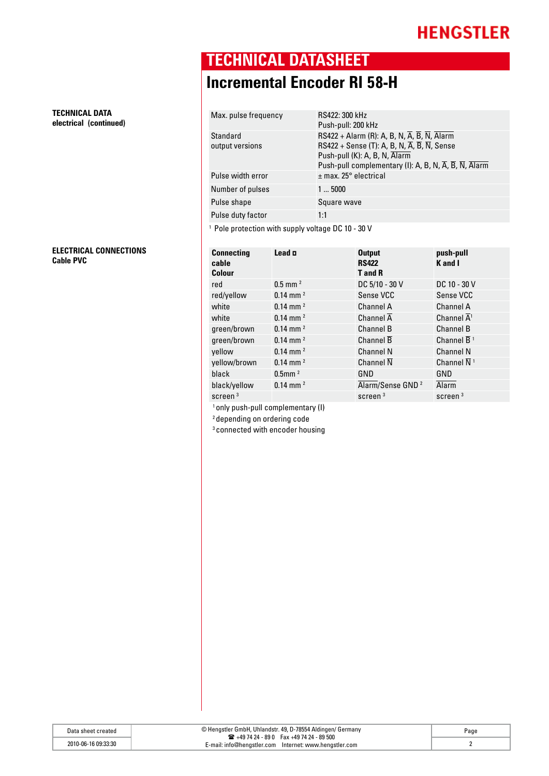**TECHNICAL DATASHEET**

# **Incremental Encoder RI 58-H**

| Max. pulse frequency        | RS422: 300 kHz<br>Push-pull: 200 kHz                                                                                                                                                                                                                                                                                          |
|-----------------------------|-------------------------------------------------------------------------------------------------------------------------------------------------------------------------------------------------------------------------------------------------------------------------------------------------------------------------------|
| Standard<br>output versions | RS422 + Alarm (R): A, B, N, $\overline{A}$ , $\overline{B}$ , $\overline{N}$ , Alarm<br>RS422 + Sense (T): A, B, N, $\overline{A}$ , $\overline{B}$ , $\overline{N}$ , Sense<br>Push-pull (K): A, B, N, Alarm<br>Push-pull complementary (I): A, B, N, $\overline{A}$ , $\overline{B}$ , $\overline{N}$ , $\overline{A}$ larm |
| Pulse width error           | $\pm$ max. 25 $^{\circ}$ electrical                                                                                                                                                                                                                                                                                           |
| Number of pulses            | 15000                                                                                                                                                                                                                                                                                                                         |
| Pulse shape                 | Square wave                                                                                                                                                                                                                                                                                                                   |
| Pulse duty factor           | 1:1                                                                                                                                                                                                                                                                                                                           |
|                             |                                                                                                                                                                                                                                                                                                                               |

<sup>1</sup> Pole protection with supply voltage DC 10 - 30 V

| <b>Connecting</b><br>cable<br>Colour | Lead n                 | <b>Output</b><br><b>RS422</b><br><b>T</b> and <b>R</b> | push-pull<br>K and I                |
|--------------------------------------|------------------------|--------------------------------------------------------|-------------------------------------|
| red                                  | $0.5$ mm <sup>2</sup>  | DC 5/10 - 30 V                                         | DC 10 - 30 V                        |
| red/yellow                           | $0.14$ mm <sup>2</sup> | Sense VCC                                              | Sense VCC                           |
| white                                | $0.14$ mm <sup>2</sup> | Channel A                                              | Channel A                           |
| white                                | $0.14$ mm <sup>2</sup> | Channel $\overline{A}$                                 | Channel $\overline{A}$ <sup>1</sup> |
| green/brown                          | $0.14$ mm <sup>2</sup> | <b>Channel B</b>                                       | <b>Channel B</b>                    |
| green/brown                          | $0.14$ mm $^{2}$       | Channel B                                              | Channel $\overline{B}$ <sup>1</sup> |
| vellow                               | $0.14$ mm <sup>2</sup> | <b>Channel N</b>                                       | <b>Channel N</b>                    |
| yellow/brown                         | $0.14$ mm $^{2}$       | Channel $\overline{N}$                                 | Channel $\overline{N}$ <sup>1</sup> |
| black                                | $0.5$ mm $2$           | GND                                                    | GND                                 |
| black/yellow                         | $0.14$ mm <sup>2</sup> | Alarm/Sense GND <sup>2</sup>                           | <b>Alarm</b>                        |
| screen $3$                           |                        | screen <sup>3</sup>                                    | screen <sup>3</sup>                 |

1 only push-pull complementary (I)

2 depending on ordering code

3 connected with encoder housing

**TECHNICAL DATA electrical (continued)**

**ELECTRICAL CONNECTIONS Cable PVC Connecting**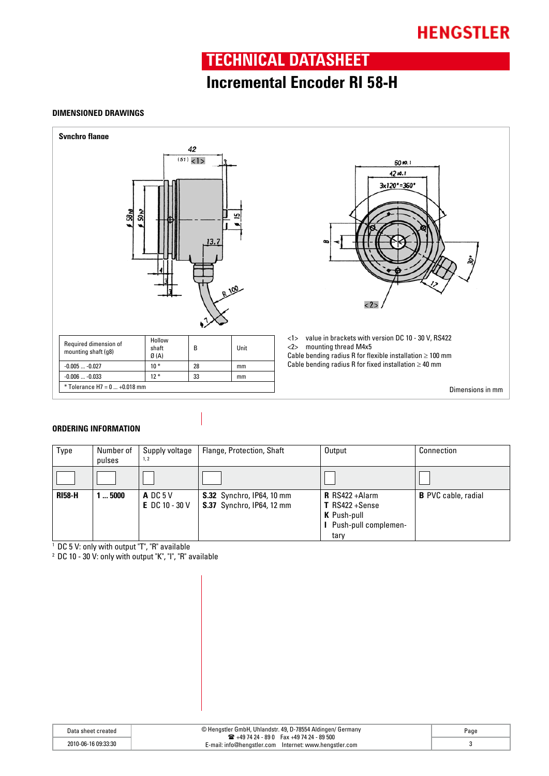### **TECHNICAL DATASHEET**

### **Incremental Encoder RI 58-H**

#### **DIMENSIONED DRAWINGS**





<1> value in brackets with version DC 10 - 30 V, RS422 <2> mounting thread M4x5

Cable bending radius R for flexible installation  $\geq 100$  mm Cable bending radius R for fixed installation  $\geq 40$  mm

Dimensions in mm

#### **ORDERING INFORMATION**

| Type          | Number of<br>pulses | Supply voltage<br>1.2                       | Flange, Protection, Shaft                                            | Output                                                                                          | Connection                 |
|---------------|---------------------|---------------------------------------------|----------------------------------------------------------------------|-------------------------------------------------------------------------------------------------|----------------------------|
|               |                     |                                             |                                                                      |                                                                                                 |                            |
| <b>RI58-H</b> | .5000               | ADC <sub>5</sub> V<br><b>E</b> DC 10 - 30 V | <b>S.32</b> Synchro, IP64, 10 mm<br><b>S.37</b> Synchro, IP64, 12 mm | <b>R</b> RS422+Alarm<br>$T$ RS422 + Sense<br><b>K</b> Push-pull<br>Push-pull complemen-<br>tary | <b>B</b> PVC cable, radial |

<sup>1</sup> DC 5 V: only with output "T", "R" available

<sup>2</sup> DC 10 - 30 V: only with output "K", "I", "R" available

| Data sheet created  | © Hengstler GmbH, Uhlandstr. 49, D-78554 Aldingen/ Germany<br>$\mathbf{R}$ +49 74 24 - 89 0 Fax +49 74 24 - 89 500 | Page |
|---------------------|--------------------------------------------------------------------------------------------------------------------|------|
| 2010-06-16 09:33:30 | E-mail: info@henɑstler.com<br>Internet: www.henastler.com                                                          |      |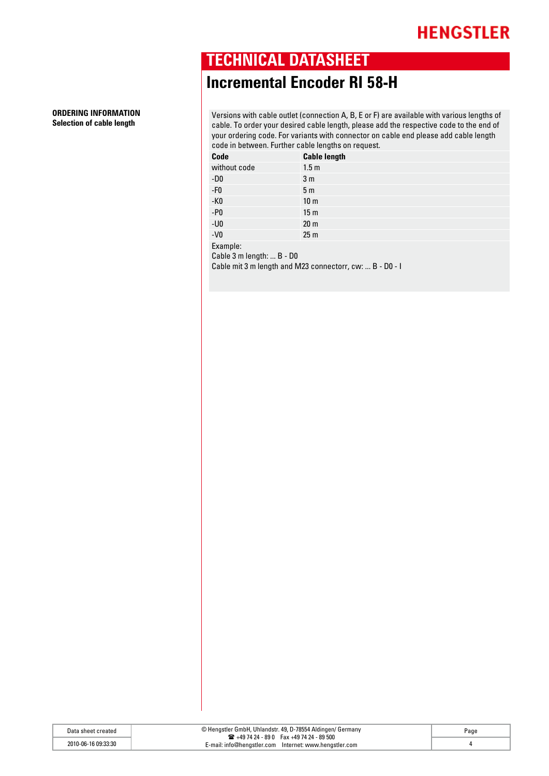## **TECHNICAL DATASHEET**

## **Incremental Encoder RI 58-H**

Versions with cable outlet (connection A, B, E or F) are available with various lengths of cable. To order your desired cable length, please add the respective code to the end of your ordering code. For variants with connector on cable end please add cable length code in between. Further cable lengths on request.

| Code                                  | <b>Cable length</b> |
|---------------------------------------|---------------------|
| without code                          | 1.5 <sub>m</sub>    |
| $-D0$                                 | 3 <sub>m</sub>      |
| $-F0$                                 | 5 <sub>m</sub>      |
| $-K0$                                 | 10 <sub>m</sub>     |
| $- P0$                                | 15 <sub>m</sub>     |
| $-U0$                                 | 20 <sub>m</sub>     |
| $-V0$                                 | 25 <sub>m</sub>     |
| Example:<br>Cable 3 m length:  B - D0 |                     |

Cable mit 3 m length and M23 connectorr, cw: ... B - D0 - I

| Data<br>sheet       | © Hengstler GmbH, Uhlandstr. 49, D-78554 Aldingen/ Germany<br>39 500 − 49 74 24 - 95 10 − 6 3 + 49 74 24 - 95 500 | Page |
|---------------------|-------------------------------------------------------------------------------------------------------------------|------|
| 2010-06-16 09:33:30 | Internet: www.henastler.com<br>:-mail: info@hengstler.com                                                         |      |

# **ORDERING INFORMATION**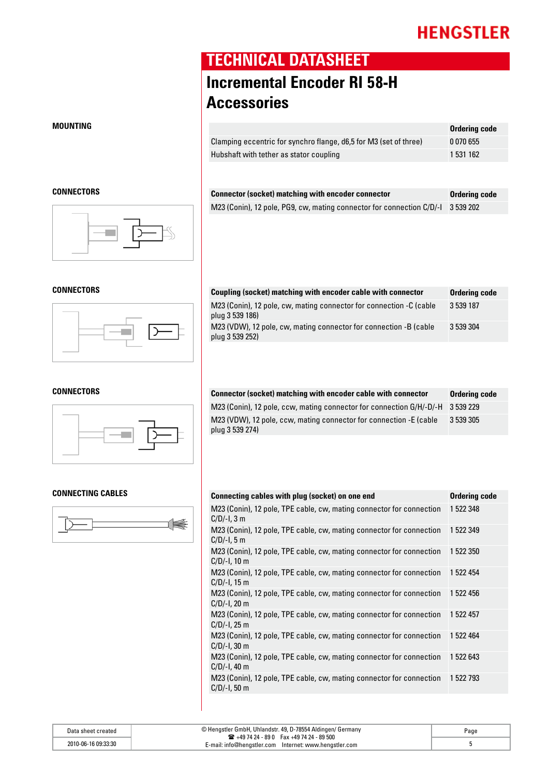### **TECHNICAL DATASHEET**

# **Incremental Encoder RI 58-H Accessories**

| MOUNTING |                                                                   | Ordering code |
|----------|-------------------------------------------------------------------|---------------|
|          | Clamping eccentric for synchro flange, d6,5 for M3 (set of three) | 0070655       |
|          | Hubshaft with tether as stator coupling                           | 531 162       |
|          |                                                                   |               |

| CONNECTORS | <b>Connector (socket) matching with encoder connector</b>                       | Ordering code |
|------------|---------------------------------------------------------------------------------|---------------|
|            | M23 (Conin), 12 pole, PG9, cw, mating connector for connection C/D/-1 3 539 202 |               |

| CONNECTORS | Coupling (socket) matching with encoder cable with connector                           | Ordering code |
|------------|----------------------------------------------------------------------------------------|---------------|
|            | M23 (Conin), 12 pole, cw, mating connector for connection -C (cable<br>plug 3 539 186) | 3 539 187     |
|            | M23 (VDW), 12 pole, cw, mating connector for connection -B (cable<br>plug 3 539 252)   | 3 539 304     |

| CONNECTORS | Connector (socket) matching with encoder cable with connector                         | Ordering code |
|------------|---------------------------------------------------------------------------------------|---------------|
|            | M23 (Conin), 12 pole, ccw, mating connector for connection G/H/-D/-H 3 539 229        |               |
|            | M23 (VDW), 12 pole, ccw, mating connector for connection -E (cable<br>plug 3 539 274) | 3 539 305     |

| Connecting cables with plug (socket) on one end                                         | Ordering code |
|-----------------------------------------------------------------------------------------|---------------|
| M23 (Conin), 12 pole, TPE cable, cw, mating connector for connection<br>$C/D/-1$ , 3 m  | 1 522 348     |
| M23 (Conin), 12 pole, TPE cable, cw, mating connector for connection<br>$C/D/-1$ , 5 m  | 1 522 349     |
| M23 (Conin), 12 pole, TPE cable, cw, mating connector for connection<br>$C/D/-1$ , 10 m | 1 522 350     |
| M23 (Conin), 12 pole, TPE cable, cw, mating connector for connection<br>$C/D/-1$ , 15 m | 1 522 454     |
| M23 (Conin), 12 pole, TPE cable, cw, mating connector for connection<br>$C/D/-1$ , 20 m | 1 522 456     |
| M23 (Conin), 12 pole, TPE cable, cw, mating connector for connection<br>$C/D/-1$ , 25 m | 1 522 457     |
| M23 (Conin), 12 pole, TPE cable, cw, mating connector for connection<br>$C/D/-1$ , 30 m | 1 522 464     |
| M23 (Conin), 12 pole, TPE cable, cw, mating connector for connection<br>$C/D/-1$ , 40 m | 1 522 643     |
| M23 (Conin), 12 pole, TPE cable, cw, mating connector for connection<br>$C/D/-1, 50 m$  | 1 522 793     |

#### Data sheet created © Hengstler GmbH, Uhlandstr. 49, D-78554 Aldingen/ Germany ( +49 74 24 - 89 0 Fax +49 74 24 - 89 500 E-mail: info@hengstler.com Internet: www.hengstler.com 2010-06-16 09:33:30 5 Page







#### **Connecting cables Connecting cables with plug (socket) on one end Ordering code**